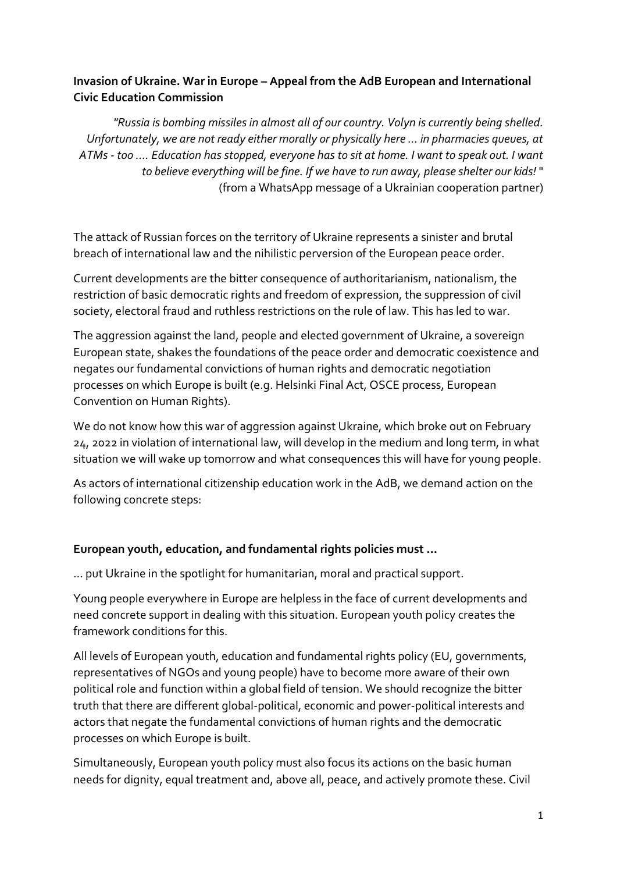## **Invasion of Ukraine. War in Europe – Appeal from the AdB European and International Civic Education Commission**

*"Russia is bombing missiles in almost all of our country. Volyn is currently being shelled. Unfortunately, we are not ready either morally or physically here ... in pharmacies queues, at ATMs - too .... Education has stopped, everyone has to sit at home. I want to speak out. I want to believe everything will be fine. If we have to run away, please shelter our kids!* " (from a WhatsApp message of a Ukrainian cooperation partner)

The attack of Russian forces on the territory of Ukraine represents a sinister and brutal breach of international law and the nihilistic perversion of the European peace order.

Current developments are the bitter consequence of authoritarianism, nationalism, the restriction of basic democratic rights and freedom of expression, the suppression of civil society, electoral fraud and ruthless restrictions on the rule of law. This has led to war.

The aggression against the land, people and elected government of Ukraine, a sovereign European state, shakes the foundations of the peace order and democratic coexistence and negates our fundamental convictions of human rights and democratic negotiation processes on which Europe is built (e.g. Helsinki Final Act, OSCE process, European Convention on Human Rights).

We do not know how this war of aggression against Ukraine, which broke out on February 24, 2022 in violation of international law, will develop in the medium and long term, in what situation we will wake up tomorrow and what consequences this will have for young people.

As actors of international citizenship education work in the AdB, we demand action on the following concrete steps:

## **European youth, education, and fundamental rights policies must ...**

... put Ukraine in the spotlight for humanitarian, moral and practical support.

Young people everywhere in Europe are helpless in the face of current developments and need concrete support in dealing with this situation. European youth policy creates the framework conditions for this.

All levels of European youth, education and fundamental rights policy (EU, governments, representatives of NGOs and young people) have to become more aware of their own political role and function within a global field of tension. We should recognize the bitter truth that there are different global-political, economic and power-political interests and actors that negate the fundamental convictions of human rights and the democratic processes on which Europe is built.

Simultaneously, European youth policy must also focus its actions on the basic human needs for dignity, equal treatment and, above all, peace, and actively promote these. Civil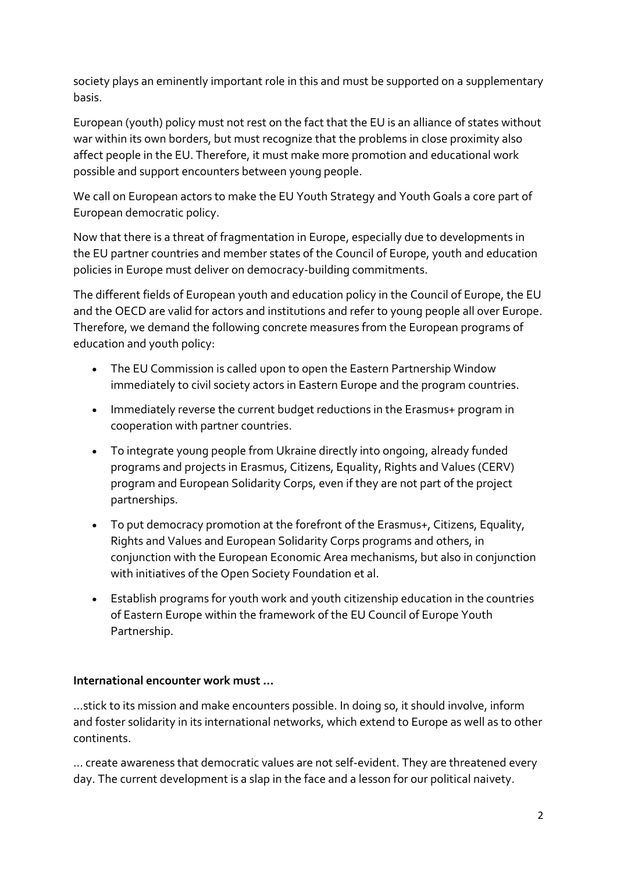society plays an eminently important role in this and must be supported on a supplementary basis.

European (youth) policy must not rest on the fact that the EU is an alliance of states without war within its own borders, but must recognize that the problems in close proximity also affect people in the EU. Therefore, it must make more promotion and educational work possible and support encounters between young people.

We call on European actors to make the EU Youth Strategy and Youth Goals a core part of European democratic policy.

Now that there is a threat of fragmentation in Europe, especially due to developments in the EU partner countries and member states of the Council of Europe, youth and education policies in Europe must deliver on democracy-building commitments.

The different fields of European youth and education policy in the Council of Europe, the EU and the OECD are valid for actors and institutions and refer to young people all over Europe. Therefore, we demand the following concrete measures from the European programs of education and youth policy:

- The EU Commission is called upon to open the Eastern Partnership Window immediately to civil society actors in Eastern Europe and the program countries.
- Immediately reverse the current budget reductions in the Erasmus+ program in cooperation with partner countries.
- To integrate young people from Ukraine directly into ongoing, already funded programs and projects in Erasmus, Citizens, Equality, Rights and Values (CERV) program and European Solidarity Corps, even if they are not part of the project partnerships.
- To put democracy promotion at the forefront of the Erasmus+, Citizens, Equality, Rights and Values and European Solidarity Corps programs and others, in conjunction with the European Economic Area mechanisms, but also in conjunction with initiatives of the Open Society Foundation et al.
- Establish programs for youth work and youth citizenship education in the countries of Eastern Europe within the framework of the EU Council of Europe Youth Partnership.

## **International encounter work must ...**

...stick to its mission and make encounters possible. In doing so, it should involve, inform and foster solidarity in its international networks, which extend to Europe as well as to other continents.

... create awareness that democratic values are not self-evident. They are threatened every day. The current development is a slap in the face and a lesson for our political naivety.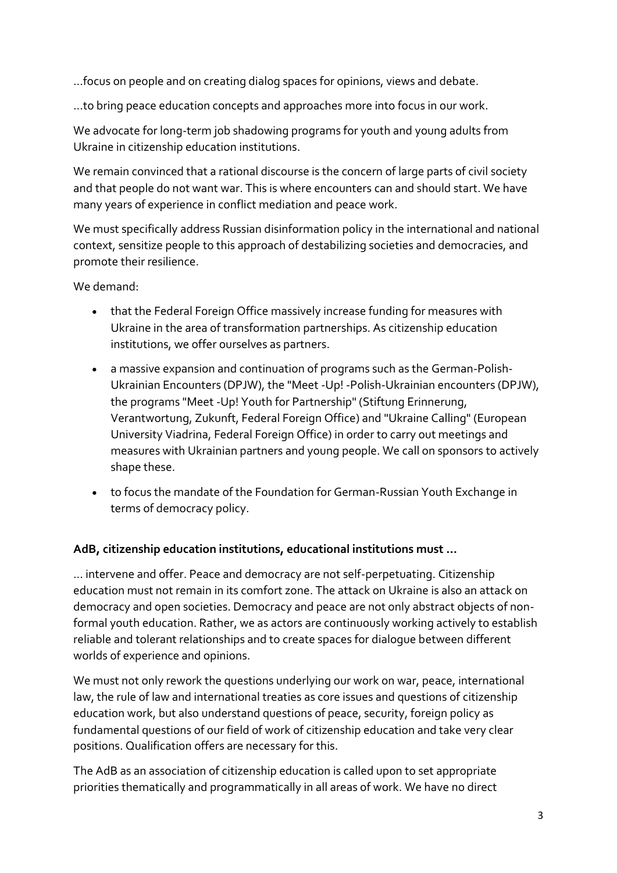...focus on people and on creating dialog spaces for opinions, views and debate.

...to bring peace education concepts and approaches more into focus in our work.

We advocate for long-term job shadowing programs for youth and young adults from Ukraine in citizenship education institutions.

We remain convinced that a rational discourse is the concern of large parts of civil society and that people do not want war. This is where encounters can and should start. We have many years of experience in conflict mediation and peace work.

We must specifically address Russian disinformation policy in the international and national context, sensitize people to this approach of destabilizing societies and democracies, and promote their resilience.

We demand:

- that the Federal Foreign Office massively increase funding for measures with Ukraine in the area of transformation partnerships. As citizenship education institutions, we offer ourselves as partners.
- a massive expansion and continuation of programs such as the German-Polish-Ukrainian Encounters (DPJW), the "Meet -Up! -Polish-Ukrainian encounters (DPJW), the programs "Meet -Up! Youth for Partnership" (Stiftung Erinnerung, Verantwortung, Zukunft, Federal Foreign Office) and "Ukraine Calling" (European University Viadrina, Federal Foreign Office) in order to carry out meetings and measures with Ukrainian partners and young people. We call on sponsors to actively shape these.
- to focus the mandate of the Foundation for German-Russian Youth Exchange in terms of democracy policy.

## **AdB, citizenship education institutions, educational institutions must ...**

... intervene and offer. Peace and democracy are not self-perpetuating. Citizenship education must not remain in its comfort zone. The attack on Ukraine is also an attack on democracy and open societies. Democracy and peace are not only abstract objects of nonformal youth education. Rather, we as actors are continuously working actively to establish reliable and tolerant relationships and to create spaces for dialogue between different worlds of experience and opinions.

We must not only rework the questions underlying our work on war, peace, international law, the rule of law and international treaties as core issues and questions of citizenship education work, but also understand questions of peace, security, foreign policy as fundamental questions of our field of work of citizenship education and take very clear positions. Qualification offers are necessary for this.

The AdB as an association of citizenship education is called upon to set appropriate priorities thematically and programmatically in all areas of work. We have no direct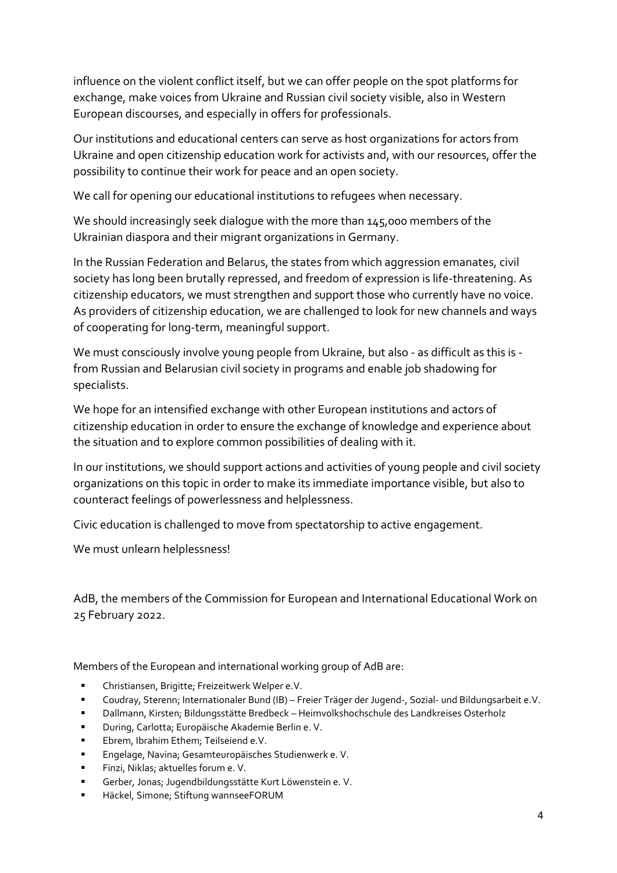influence on the violent conflict itself, but we can offer people on the spot platforms for exchange, make voices from Ukraine and Russian civil society visible, also in Western European discourses, and especially in offers for professionals.

Our institutions and educational centers can serve as host organizations for actors from Ukraine and open citizenship education work for activists and, with our resources, offer the possibility to continue their work for peace and an open society.

We call for opening our educational institutions to refugees when necessary.

We should increasingly seek dialogue with the more than 145,000 members of the Ukrainian diaspora and their migrant organizations in Germany.

In the Russian Federation and Belarus, the states from which aggression emanates, civil society has long been brutally repressed, and freedom of expression is life-threatening. As citizenship educators, we must strengthen and support those who currently have no voice. As providers of citizenship education, we are challenged to look for new channels and ways of cooperating for long-term, meaningful support.

We must consciously involve young people from Ukraine, but also - as difficult as this is from Russian and Belarusian civil society in programs and enable job shadowing for specialists.

We hope for an intensified exchange with other European institutions and actors of citizenship education in order to ensure the exchange of knowledge and experience about the situation and to explore common possibilities of dealing with it.

In our institutions, we should support actions and activities of young people and civil society organizations on this topic in order to make its immediate importance visible, but also to counteract feelings of powerlessness and helplessness.

Civic education is challenged to move from spectatorship to active engagement.

We must unlearn helplessness!

AdB, the members of the Commission for European and International Educational Work on 25 February 2022.

Members of the European and international working group of AdB are:

- Christiansen, Brigitte; Freizeitwerk Welper e.V.
- Coudray, Sterenn; Internationaler Bund (IB) Freier Träger der Jugend-, Sozial- und Bildungsarbeit e.V.
- Dallmann, Kirsten; Bildungsstätte Bredbeck Heimvolkshochschule des Landkreises Osterholz
- During, Carlotta; Europäische Akademie Berlin e. V.
- Ebrem, Ibrahim Ethem; Teilseiend e.V.
- Engelage, Navina; Gesamteuropäisches Studienwerk e. V.
- Finzi, Niklas; aktuelles forum e. V.
- Gerber, Jonas; Jugendbildungsstätte Kurt Löwenstein e. V.
- Häckel, Simone; Stiftung wannseeFORUM